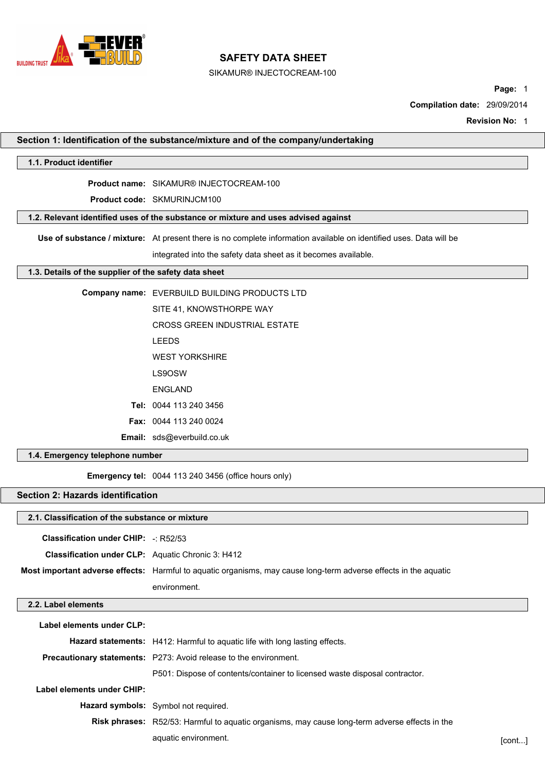

# **SAFETY DATA SHEET**

SIKAMUR® INJECTOCREAM-100

**Page:** 1

**Compilation date:** 29/09/2014

**Revision No:** 1

| 1.1. Product identifier                                                            |                                                                                                                    |  |  |  |  |
|------------------------------------------------------------------------------------|--------------------------------------------------------------------------------------------------------------------|--|--|--|--|
|                                                                                    |                                                                                                                    |  |  |  |  |
|                                                                                    | <b>Product name: SIKAMUR® INJECTOCREAM-100</b>                                                                     |  |  |  |  |
|                                                                                    | Product code: SKMURINJCM100                                                                                        |  |  |  |  |
| 1.2. Relevant identified uses of the substance or mixture and uses advised against |                                                                                                                    |  |  |  |  |
|                                                                                    | Use of substance / mixture: At present there is no complete information available on identified uses. Data will be |  |  |  |  |
|                                                                                    | integrated into the safety data sheet as it becomes available.                                                     |  |  |  |  |
| 1.3. Details of the supplier of the safety data sheet                              |                                                                                                                    |  |  |  |  |
|                                                                                    | Company name: EVERBUILD BUILDING PRODUCTS LTD                                                                      |  |  |  |  |
|                                                                                    | SITE 41, KNOWSTHORPE WAY                                                                                           |  |  |  |  |
|                                                                                    | <b>CROSS GREEN INDUSTRIAL ESTATE</b>                                                                               |  |  |  |  |
|                                                                                    | <b>LEEDS</b>                                                                                                       |  |  |  |  |
|                                                                                    | <b>WEST YORKSHIRE</b>                                                                                              |  |  |  |  |
|                                                                                    | LS9OSW                                                                                                             |  |  |  |  |
|                                                                                    | <b>ENGLAND</b>                                                                                                     |  |  |  |  |
|                                                                                    | Tel: 0044 113 240 3456                                                                                             |  |  |  |  |
|                                                                                    | <b>Fax: 0044 113 240 0024</b>                                                                                      |  |  |  |  |
|                                                                                    | Email: sds@everbuild.co.uk                                                                                         |  |  |  |  |
| 1.4. Emergency telephone number                                                    |                                                                                                                    |  |  |  |  |
|                                                                                    | <b>Emergency tel:</b> 0044 113 240 3456 (office hours only)                                                        |  |  |  |  |
| <b>Section 2: Hazards identification</b>                                           |                                                                                                                    |  |  |  |  |
| 2.1. Classification of the substance or mixture                                    |                                                                                                                    |  |  |  |  |
| <b>Classification under CHIP:</b> -: R52/53                                        |                                                                                                                    |  |  |  |  |
|                                                                                    |                                                                                                                    |  |  |  |  |
| Classification under CLP: Aquatic Chronic 3: H412                                  |                                                                                                                    |  |  |  |  |
|                                                                                    |                                                                                                                    |  |  |  |  |
|                                                                                    | Most important adverse effects: Harmful to aquatic organisms, may cause long-term adverse effects in the aquatic   |  |  |  |  |
|                                                                                    | environment.                                                                                                       |  |  |  |  |
|                                                                                    |                                                                                                                    |  |  |  |  |
| Label elements under CLP:                                                          |                                                                                                                    |  |  |  |  |
|                                                                                    | Hazard statements: H412: Harmful to aquatic life with long lasting effects.                                        |  |  |  |  |
|                                                                                    | Precautionary statements: P273: Avoid release to the environment.                                                  |  |  |  |  |
| 2.2. Label elements                                                                | P501: Dispose of contents/container to licensed waste disposal contractor.                                         |  |  |  |  |
| Label elements under CHIP:                                                         |                                                                                                                    |  |  |  |  |
|                                                                                    | Hazard symbols: Symbol not required.                                                                               |  |  |  |  |
|                                                                                    | Risk phrases: R52/53: Harmful to aquatic organisms, may cause long-term adverse effects in the                     |  |  |  |  |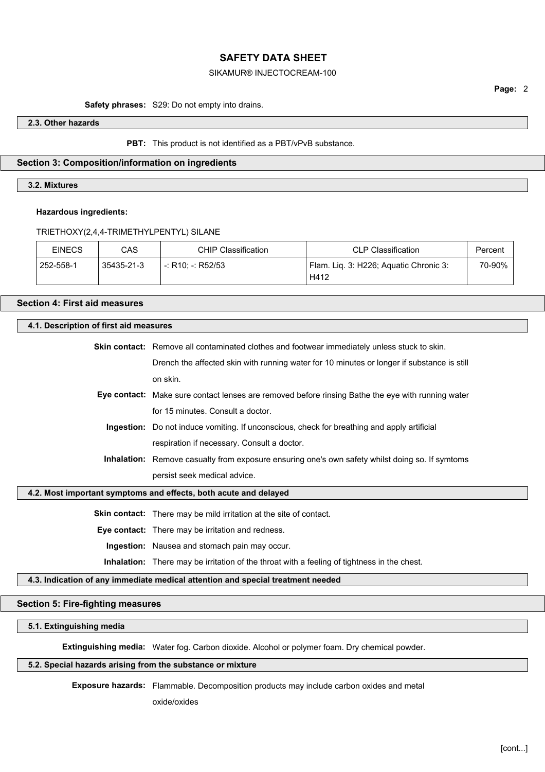## SIKAMUR® INJECTOCREAM-100

## **Page:** 2

#### **Safety phrases:** S29: Do not empty into drains.

#### **2.3. Other hazards**

#### **PBT:** This product is not identified as a PBT/vPvB substance.

#### **Section 3: Composition/information on ingredients**

## **3.2. Mixtures**

#### **Hazardous ingredients:**

#### TRIETHOXY(2,4,4-TRIMETHYLPENTYL) SILANE

| <b>EINECS</b> | CAS        | CHIP Classification | <b>CLP Classification</b>              | Percent |
|---------------|------------|---------------------|----------------------------------------|---------|
| 252-558-1     | 35435-21-3 | l -: R10: -: R52/53 | Flam. Lig. 3: H226; Aguatic Chronic 3: | 70-90%  |
|               |            |                     | H412                                   |         |

#### **Section 4: First aid measures**

#### **4.1. Description of first aid measures**

**Skin contact:** Remove all contaminated clothes and footwear immediately unless stuck to skin.

Drench the affected skin with running water for 10 minutes or longer if substance is still on skin.

**Eye contact:** Make sure contact lenses are removed before rinsing Bathe the eye with running water for 15 minutes. Consult a doctor.

**Ingestion:** Do not induce vomiting. If unconscious, check for breathing and apply artificial respiration if necessary. Consult a doctor.

**Inhalation:** Remove casualty from exposure ensuring one's own safety whilst doing so. If symtoms persist seek medical advice.

#### **4.2. Most important symptoms and effects, both acute and delayed**

**Skin contact:** There may be mild irritation at the site of contact.

**Eye contact:** There may be irritation and redness.

**Ingestion:** Nausea and stomach pain may occur.

**Inhalation:** There may be irritation of the throat with a feeling of tightness in the chest.

## **4.3. Indication of any immediate medical attention and special treatment needed**

#### **Section 5: Fire-fighting measures**

**5.1. Extinguishing media**

**Extinguishing media:** Water fog. Carbon dioxide. Alcohol or polymer foam. Dry chemical powder.

#### **5.2. Special hazards arising from the substance or mixture**

**Exposure hazards:** Flammable. Decomposition products may include carbon oxides and metal

oxide/oxides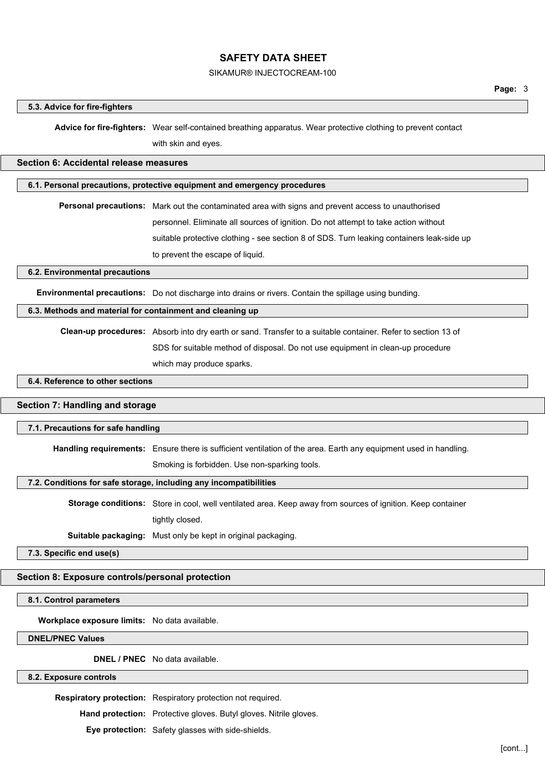#### SIKAMUR® INJECTOCREAM-100

#### **5.3. Advice for fire-fighters**

**Advice for fire-fighters:** Wear self-contained breathing apparatus. Wear protective clothing to prevent contact with skin and eyes.

#### **Section 6: Accidental release measures**

## **6.1. Personal precautions, protective equipment and emergency procedures**

**Personal precautions:** Mark out the contaminated area with signs and prevent access to unauthorised personnel. Eliminate all sources of ignition. Do not attempt to take action without suitable protective clothing - see section 8 of SDS. Turn leaking containers leak-side up to prevent the escape of liquid.

#### **6.2. Environmental precautions**

**Environmental precautions:** Do not discharge into drains or rivers. Contain the spillage using bunding.

#### **6.3. Methods and material for containment and cleaning up**

**Clean-up procedures:** Absorb into dry earth or sand. Transfer to a suitable container. Refer to section 13 of SDS for suitable method of disposal. Do not use equipment in clean-up procedure which may produce sparks.

3

## **6.4. Reference to other sections**

## **Section 7: Handling and storage**

#### **7.1. Precautions for safe handling**

**Handling requirements:** Ensure there is sufficient ventilation of the area. Earth any equipment used in handling.

Smoking is forbidden. Use non-sparking tools.

#### **7.2. Conditions for safe storage, including any incompatibilities**

**Storage conditions:** Store in cool, well ventilated area. Keep away from sources of ignition. Keep container tightly closed.

**Suitable packaging:** Must only be kept in original packaging.

**7.3. Specific end use(s)**

#### **Section 8: Exposure controls/personal protection**

**8.1. Control parameters**

**Workplace exposure limits:** No data available.

**DNEL/PNEC Values**

**DNEL / PNEC** No data available.

## **8.2. Exposure controls**

**Respiratory protection:** Respiratory protection not required.

**Hand protection:** Protective gloves. Butyl gloves. Nitrile gloves.

**Eye protection:** Safety glasses with side-shields.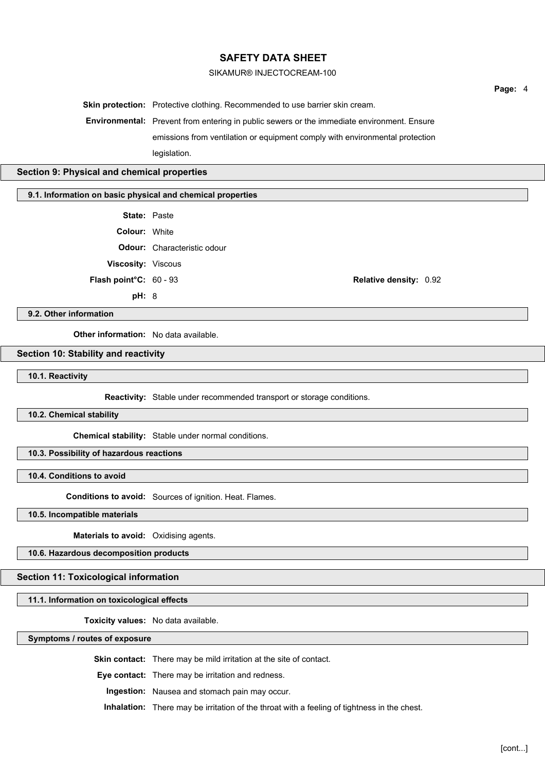### SIKAMUR® INJECTOCREAM-100

**Skin protection:** Protective clothing. Recommended to use barrier skin cream. **Environmental:** Prevent from entering in public sewers or the immediate environment. Ensure emissions from ventilation or equipment comply with environmental protection legislation.

#### **Section 9: Physical and chemical properties**

#### **9.1. Information on basic physical and chemical properties**

- **State:** Paste
- **Colour:** White
- **Odour:** Characteristic odour
- **Viscosity:** Viscous
- 
- - **pH:** 8

**Flash point°C:** 60 - 93 **Relative density:** 0.92

### **9.2. Other information**

**Other information:** No data available.

## **Section 10: Stability and reactivity**

**10.1. Reactivity**

**Reactivity:** Stable under recommended transport or storage conditions.

3

## **10.2. Chemical stability**

**Chemical stability:** Stable under normal conditions.

## **10.3. Possibility of hazardous reactions**

**10.4. Conditions to avoid**

**Conditions to avoid:** Sources of ignition. Heat. Flames.

**10.5. Incompatible materials**

**Materials to avoid:** Oxidising agents.

**10.6. Hazardous decomposition products**

## **Section 11: Toxicological information**

**11.1. Information on toxicological effects**

**Toxicity values:** No data available.

**Symptoms / routes of exposure**

**Skin contact:** There may be mild irritation at the site of contact.

**Eye contact:** There may be irritation and redness.

**Ingestion:** Nausea and stomach pain may occur.

**Inhalation:** There may be irritation of the throat with a feeling of tightness in the chest.

**Page:** 4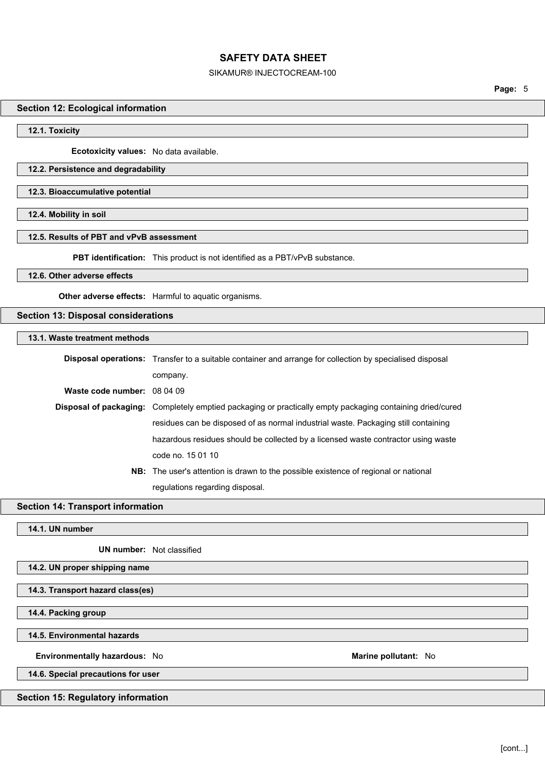### SIKAMUR® INJECTOCREAM-100

**Page:** 5

## **Section 12: Ecological information**

**12.1. Toxicity**

**Ecotoxicity values:** No data available.

## **12.2. Persistence and degradability**

**12.3. Bioaccumulative potential**

**12.4. Mobility in soil**

### **12.5. Results of PBT and vPvB assessment**

**PBT identification:** This product is not identified as a PBT/vPvB substance.

## **12.6. Other adverse effects**

**Other adverse effects:** Harmful to aquatic organisms.

## **Section 13: Disposal considerations**

**13.1. Waste treatment methods**

|                             | <b>Disposal operations:</b> Transfer to a suitable container and arrange for collection by specialised disposal |  |
|-----------------------------|-----------------------------------------------------------------------------------------------------------------|--|
|                             | company.                                                                                                        |  |
| Waste code number: 08 04 09 |                                                                                                                 |  |
|                             | Disposal of packaging: Completely emptied packaging or practically empty packaging containing dried/cured       |  |
|                             | residues can be disposed of as normal industrial waste. Packaging still containing                              |  |
|                             | hazardous residues should be collected by a licensed waste contractor using waste                               |  |
|                             | code no. 15 01 10                                                                                               |  |
|                             | <b>NB:</b> The user's attention is drawn to the possible existence of regional or national                      |  |
|                             | regulations regarding disposal.                                                                                 |  |

**Section 14: Transport information**

**14.1. UN number**

**UN number:** Not classified

## **14.2. UN proper shipping name**

**14.3. Transport hazard class(es)**

**14.4. Packing group**

**14.5. Environmental hazards**

**Environmentally hazardous:** No **Marine pollutant:** No

**14.6. Special precautions for user**

## **Section 15: Regulatory information**